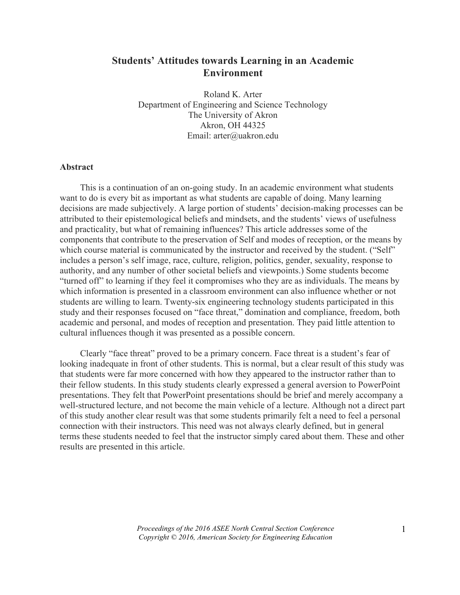# **Students' Attitudes towards Learning in an Academic Environment**

Roland K. Arter Department of Engineering and Science Technology The University of Akron Akron, OH 44325 Email: arter@uakron.edu

## **Abstract**

This is a continuation of an on-going study. In an academic environment what students want to do is every bit as important as what students are capable of doing. Many learning decisions are made subjectively. A large portion of students' decision-making processes can be attributed to their epistemological beliefs and mindsets, and the students' views of usefulness and practicality, but what of remaining influences? This article addresses some of the components that contribute to the preservation of Self and modes of reception, or the means by which course material is communicated by the instructor and received by the student. ("Self" includes a person's self image, race, culture, religion, politics, gender, sexuality, response to authority, and any number of other societal beliefs and viewpoints.) Some students become "turned off" to learning if they feel it compromises who they are as individuals. The means by which information is presented in a classroom environment can also influence whether or not students are willing to learn. Twenty-six engineering technology students participated in this study and their responses focused on "face threat," domination and compliance, freedom, both academic and personal, and modes of reception and presentation. They paid little attention to cultural influences though it was presented as a possible concern.

Clearly "face threat" proved to be a primary concern. Face threat is a student's fear of looking inadequate in front of other students. This is normal, but a clear result of this study was that students were far more concerned with how they appeared to the instructor rather than to their fellow students. In this study students clearly expressed a general aversion to PowerPoint presentations. They felt that PowerPoint presentations should be brief and merely accompany a well-structured lecture, and not become the main vehicle of a lecture. Although not a direct part of this study another clear result was that some students primarily felt a need to feel a personal connection with their instructors. This need was not always clearly defined, but in general terms these students needed to feel that the instructor simply cared about them. These and other results are presented in this article.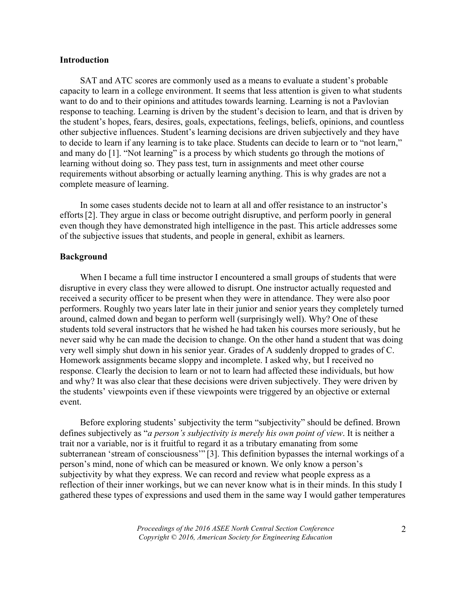# **Introduction**

SAT and ATC scores are commonly used as a means to evaluate a student's probable capacity to learn in a college environment. It seems that less attention is given to what students want to do and to their opinions and attitudes towards learning. Learning is not a Pavlovian response to teaching. Learning is driven by the student's decision to learn, and that is driven by the student's hopes, fears, desires, goals, expectations, feelings, beliefs, opinions, and countless other subjective influences. Student's learning decisions are driven subjectively and they have to decide to learn if any learning is to take place. Students can decide to learn or to "not learn," and many do [1]. "Not learning" is a process by which students go through the motions of learning without doing so. They pass test, turn in assignments and meet other course requirements without absorbing or actually learning anything. This is why grades are not a complete measure of learning.

In some cases students decide not to learn at all and offer resistance to an instructor's efforts[2]. They argue in class or become outright disruptive, and perform poorly in general even though they have demonstrated high intelligence in the past. This article addresses some of the subjective issues that students, and people in general, exhibit as learners.

## **Background**

When I became a full time instructor I encountered a small groups of students that were disruptive in every class they were allowed to disrupt. One instructor actually requested and received a security officer to be present when they were in attendance. They were also poor performers. Roughly two years later late in their junior and senior years they completely turned around, calmed down and began to perform well (surprisingly well). Why? One of these students told several instructors that he wished he had taken his courses more seriously, but he never said why he can made the decision to change. On the other hand a student that was doing very well simply shut down in his senior year. Grades of A suddenly dropped to grades of C. Homework assignments became sloppy and incomplete. I asked why, but I received no response. Clearly the decision to learn or not to learn had affected these individuals, but how and why? It was also clear that these decisions were driven subjectively. They were driven by the students' viewpoints even if these viewpoints were triggered by an objective or external event.

Before exploring students' subjectivity the term "subjectivity" should be defined. Brown defines subjectively as "*a person's subjectivity is merely his own point of view*. It is neither a trait nor a variable, nor is it fruitful to regard it as a tributary emanating from some subterranean 'stream of consciousness'" [3]. This definition bypasses the internal workings of a person's mind, none of which can be measured or known. We only know a person's subjectivity by what they express. We can record and review what people express as a reflection of their inner workings, but we can never know what is in their minds. In this study I gathered these types of expressions and used them in the same way I would gather temperatures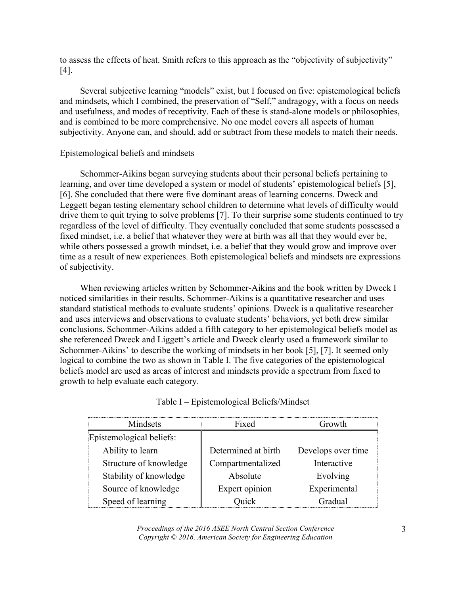to assess the effects of heat. Smith refers to this approach as the "objectivity of subjectivity" [4].

Several subjective learning "models" exist, but I focused on five: epistemological beliefs and mindsets, which I combined, the preservation of "Self," andragogy, with a focus on needs and usefulness, and modes of receptivity. Each of these is stand-alone models or philosophies, and is combined to be more comprehensive. No one model covers all aspects of human subjectivity. Anyone can, and should, add or subtract from these models to match their needs.

## Epistemological beliefs and mindsets

Schommer-Aikins began surveying students about their personal beliefs pertaining to learning, and over time developed a system or model of students' epistemological beliefs [5], [6]. She concluded that there were five dominant areas of learning concerns. Dweck and Leggett began testing elementary school children to determine what levels of difficulty would drive them to quit trying to solve problems [7]. To their surprise some students continued to try regardless of the level of difficulty. They eventually concluded that some students possessed a fixed mindset, i.e. a belief that whatever they were at birth was all that they would ever be, while others possessed a growth mindset, i.e. a belief that they would grow and improve over time as a result of new experiences. Both epistemological beliefs and mindsets are expressions of subjectivity.

When reviewing articles written by Schommer-Aikins and the book written by Dweck I noticed similarities in their results. Schommer-Aikins is a quantitative researcher and uses standard statistical methods to evaluate students' opinions. Dweck is a qualitative researcher and uses interviews and observations to evaluate students' behaviors, yet both drew similar conclusions. Schommer-Aikins added a fifth category to her epistemological beliefs model as she referenced Dweck and Liggett's article and Dweck clearly used a framework similar to Schommer-Aikins' to describe the working of mindsets in her book [5], [7]. It seemed only logical to combine the two as shown in Table I. The five categories of the epistemological beliefs model are used as areas of interest and mindsets provide a spectrum from fixed to growth to help evaluate each category.

| Mindsets                 | Fixed               | Growth             |
|--------------------------|---------------------|--------------------|
| Epistemological beliefs: |                     |                    |
| Ability to learn         | Determined at birth | Develops over time |
| Structure of knowledge   | Compartmentalized   | Interactive        |
| Stability of knowledge   | Absolute            | Evolving           |
| Source of knowledge      | Expert opinion      | Experimental       |
| Speed of learning        | Ouick               | Gradual            |

|  | Table I - Epistemological Beliefs/Mindset |  |  |
|--|-------------------------------------------|--|--|
|  |                                           |  |  |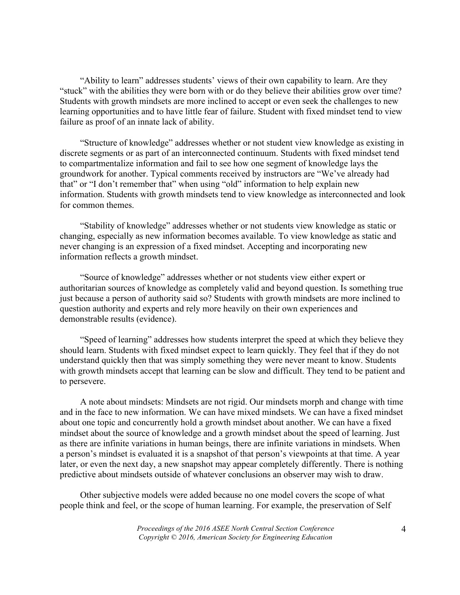"Ability to learn" addresses students' views of their own capability to learn. Are they "stuck" with the abilities they were born with or do they believe their abilities grow over time? Students with growth mindsets are more inclined to accept or even seek the challenges to new learning opportunities and to have little fear of failure. Student with fixed mindset tend to view failure as proof of an innate lack of ability.

"Structure of knowledge" addresses whether or not student view knowledge as existing in discrete segments or as part of an interconnected continuum. Students with fixed mindset tend to compartmentalize information and fail to see how one segment of knowledge lays the groundwork for another. Typical comments received by instructors are "We've already had that" or "I don't remember that" when using "old" information to help explain new information. Students with growth mindsets tend to view knowledge as interconnected and look for common themes.

"Stability of knowledge" addresses whether or not students view knowledge as static or changing, especially as new information becomes available. To view knowledge as static and never changing is an expression of a fixed mindset. Accepting and incorporating new information reflects a growth mindset.

"Source of knowledge" addresses whether or not students view either expert or authoritarian sources of knowledge as completely valid and beyond question. Is something true just because a person of authority said so? Students with growth mindsets are more inclined to question authority and experts and rely more heavily on their own experiences and demonstrable results (evidence).

"Speed of learning" addresses how students interpret the speed at which they believe they should learn. Students with fixed mindset expect to learn quickly. They feel that if they do not understand quickly then that was simply something they were never meant to know. Students with growth mindsets accept that learning can be slow and difficult. They tend to be patient and to persevere.

A note about mindsets: Mindsets are not rigid. Our mindsets morph and change with time and in the face to new information. We can have mixed mindsets. We can have a fixed mindset about one topic and concurrently hold a growth mindset about another. We can have a fixed mindset about the source of knowledge and a growth mindset about the speed of learning. Just as there are infinite variations in human beings, there are infinite variations in mindsets. When a person's mindset is evaluated it is a snapshot of that person's viewpoints at that time. A year later, or even the next day, a new snapshot may appear completely differently. There is nothing predictive about mindsets outside of whatever conclusions an observer may wish to draw.

Other subjective models were added because no one model covers the scope of what people think and feel, or the scope of human learning. For example, the preservation of Self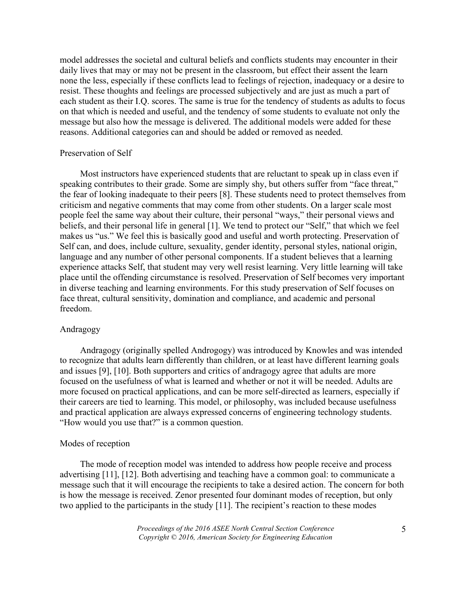model addresses the societal and cultural beliefs and conflicts students may encounter in their daily lives that may or may not be present in the classroom, but effect their assent the learn none the less, especially if these conflicts lead to feelings of rejection, inadequacy or a desire to resist. These thoughts and feelings are processed subjectively and are just as much a part of each student as their I.Q. scores. The same is true for the tendency of students as adults to focus on that which is needed and useful, and the tendency of some students to evaluate not only the message but also how the message is delivered. The additional models were added for these reasons. Additional categories can and should be added or removed as needed.

# Preservation of Self

Most instructors have experienced students that are reluctant to speak up in class even if speaking contributes to their grade. Some are simply shy, but others suffer from "face threat," the fear of looking inadequate to their peers [8]. These students need to protect themselves from criticism and negative comments that may come from other students. On a larger scale most people feel the same way about their culture, their personal "ways," their personal views and beliefs, and their personal life in general [1]. We tend to protect our "Self," that which we feel makes us "us." We feel this is basically good and useful and worth protecting. Preservation of Self can, and does, include culture, sexuality, gender identity, personal styles, national origin, language and any number of other personal components. If a student believes that a learning experience attacks Self, that student may very well resist learning. Very little learning will take place until the offending circumstance is resolved. Preservation of Self becomes very important in diverse teaching and learning environments. For this study preservation of Self focuses on face threat, cultural sensitivity, domination and compliance, and academic and personal freedom.

### Andragogy

Andragogy (originally spelled Androgogy) was introduced by Knowles and was intended to recognize that adults learn differently than children, or at least have different learning goals and issues [9], [10]. Both supporters and critics of andragogy agree that adults are more focused on the usefulness of what is learned and whether or not it will be needed. Adults are more focused on practical applications, and can be more self-directed as learners, especially if their careers are tied to learning. This model, or philosophy, was included because usefulness and practical application are always expressed concerns of engineering technology students. "How would you use that?" is a common question.

### Modes of reception

The mode of reception model was intended to address how people receive and process advertising [11], [12]. Both advertising and teaching have a common goal: to communicate a message such that it will encourage the recipients to take a desired action. The concern for both is how the message is received. Zenor presented four dominant modes of reception, but only two applied to the participants in the study [11]. The recipient's reaction to these modes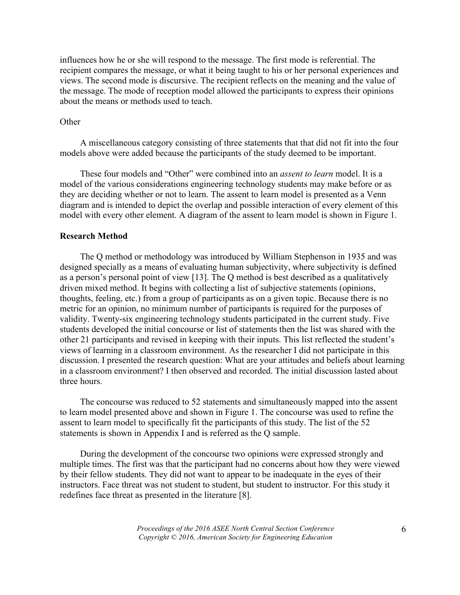influences how he or she will respond to the message. The first mode is referential. The recipient compares the message, or what it being taught to his or her personal experiences and views. The second mode is discursive. The recipient reflects on the meaning and the value of the message. The mode of reception model allowed the participants to express their opinions about the means or methods used to teach.

# **Other**

A miscellaneous category consisting of three statements that that did not fit into the four models above were added because the participants of the study deemed to be important.

These four models and "Other" were combined into an *assent to learn* model. It is a model of the various considerations engineering technology students may make before or as they are deciding whether or not to learn. The assent to learn model is presented as a Venn diagram and is intended to depict the overlap and possible interaction of every element of this model with every other element. A diagram of the assent to learn model is shown in Figure 1.

## **Research Method**

The Q method or methodology was introduced by William Stephenson in 1935 and was designed specially as a means of evaluating human subjectivity, where subjectivity is defined as a person's personal point of view [13]. The Q method is best described as a qualitatively driven mixed method. It begins with collecting a list of subjective statements (opinions, thoughts, feeling, etc.) from a group of participants as on a given topic. Because there is no metric for an opinion, no minimum number of participants is required for the purposes of validity. Twenty-six engineering technology students participated in the current study. Five students developed the initial concourse or list of statements then the list was shared with the other 21 participants and revised in keeping with their inputs. This list reflected the student's views of learning in a classroom environment. As the researcher I did not participate in this discussion. I presented the research question: What are your attitudes and beliefs about learning in a classroom environment? I then observed and recorded. The initial discussion lasted about three hours.

The concourse was reduced to 52 statements and simultaneously mapped into the assent to learn model presented above and shown in Figure 1. The concourse was used to refine the assent to learn model to specifically fit the participants of this study. The list of the 52 statements is shown in Appendix I and is referred as the Q sample.

During the development of the concourse two opinions were expressed strongly and multiple times. The first was that the participant had no concerns about how they were viewed by their fellow students. They did not want to appear to be inadequate in the eyes of their instructors. Face threat was not student to student, but student to instructor. For this study it redefines face threat as presented in the literature [8].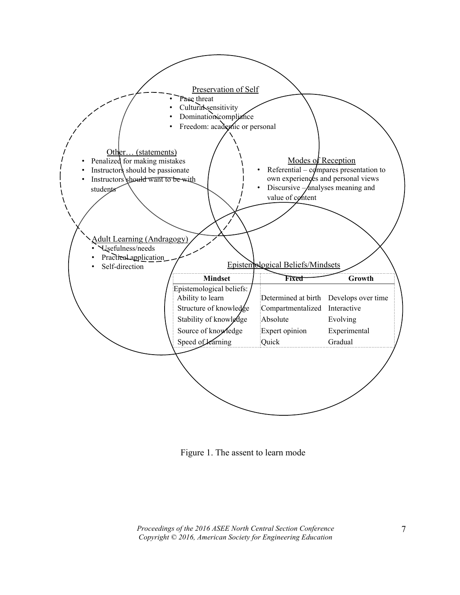

Figure 1. The assent to learn mode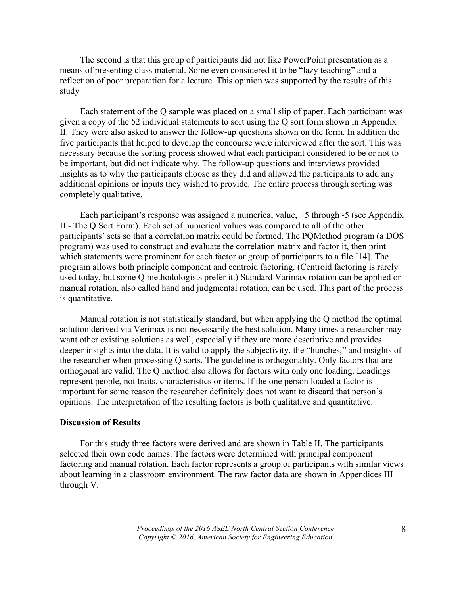The second is that this group of participants did not like PowerPoint presentation as a means of presenting class material. Some even considered it to be "lazy teaching" and a reflection of poor preparation for a lecture. This opinion was supported by the results of this study

Each statement of the Q sample was placed on a small slip of paper. Each participant was given a copy of the 52 individual statements to sort using the Q sort form shown in Appendix II. They were also asked to answer the follow-up questions shown on the form. In addition the five participants that helped to develop the concourse were interviewed after the sort. This was necessary because the sorting process showed what each participant considered to be or not to be important, but did not indicate why. The follow-up questions and interviews provided insights as to why the participants choose as they did and allowed the participants to add any additional opinions or inputs they wished to provide. The entire process through sorting was completely qualitative.

Each participant's response was assigned a numerical value, +5 through -5 (see Appendix II - The Q Sort Form). Each set of numerical values was compared to all of the other participants' sets so that a correlation matrix could be formed. The PQMethod program (a DOS program) was used to construct and evaluate the correlation matrix and factor it, then print which statements were prominent for each factor or group of participants to a file [14]. The program allows both principle component and centroid factoring. (Centroid factoring is rarely used today, but some Q methodologists prefer it.) Standard Varimax rotation can be applied or manual rotation, also called hand and judgmental rotation, can be used. This part of the process is quantitative.

Manual rotation is not statistically standard, but when applying the Q method the optimal solution derived via Verimax is not necessarily the best solution. Many times a researcher may want other existing solutions as well, especially if they are more descriptive and provides deeper insights into the data. It is valid to apply the subjectivity, the "hunches," and insights of the researcher when processing Q sorts. The guideline is orthogonality. Only factors that are orthogonal are valid. The Q method also allows for factors with only one loading. Loadings represent people, not traits, characteristics or items. If the one person loaded a factor is important for some reason the researcher definitely does not want to discard that person's opinions. The interpretation of the resulting factors is both qualitative and quantitative.

#### **Discussion of Results**

For this study three factors were derived and are shown in Table II. The participants selected their own code names. The factors were determined with principal component factoring and manual rotation. Each factor represents a group of participants with similar views about learning in a classroom environment. The raw factor data are shown in Appendices III through V.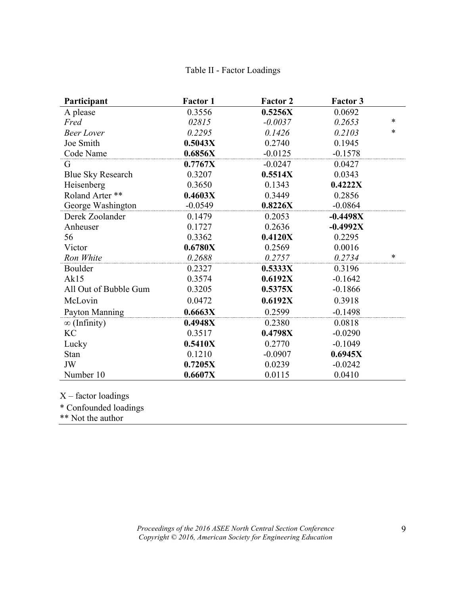# Table II - Factor Loadings

| Participant              | <b>Factor 1</b> | <b>Factor 2</b> | <b>Factor 3</b> |        |
|--------------------------|-----------------|-----------------|-----------------|--------|
| A please                 | 0.3556          | 0.5256X         | 0.0692          |        |
| Fred                     | 02815           | $-0.0037$       | 0.2653          | $\ast$ |
| <b>Beer Lover</b>        | 0.2295          | 0.1426          | 0.2103          | $\ast$ |
| Joe Smith                | 0.5043X         | 0.2740          | 0.1945          |        |
| Code Name                | 0.6856X         | $-0.0125$       | $-0.1578$       |        |
| G                        | 0.7767X         | $-0.0247$       | 0.0427          |        |
| <b>Blue Sky Research</b> | 0.3207          | 0.5514X         | 0.0343          |        |
| Heisenberg               | 0.3650          | 0.1343          | 0.4222X         |        |
| Roland Arter **          | 0.4603X         | 0.3449          | 0.2856          |        |
| George Washington        | $-0.0549$       | 0.8226X         | $-0.0864$       |        |
| Derek Zoolander          | 0.1479          | 0.2053          | $-0.4498X$      |        |
| Anheuser                 | 0.1727          | 0.2636          | $-0.4992X$      |        |
| 56                       | 0.3362          | 0.4120X         | 0.2295          |        |
| Victor                   | 0.6780X         | 0.2569          | 0.0016          |        |
| Ron White                | 0.2688          | 0.2757          | 0.2734          | $\ast$ |
| Boulder                  | 0.2327          | 0.5333X         | 0.3196          |        |
| Ak15                     | 0.3574          | 0.6192X         | $-0.1642$       |        |
| All Out of Bubble Gum    | 0.3205          | 0.5375X         | $-0.1866$       |        |
| McLovin                  | 0.0472          | 0.6192X         | 0.3918          |        |
| Payton Manning           | 0.6663X         | 0.2599          | $-0.1498$       |        |
| $\infty$ (Infinity)      | 0.4948X         | 0.2380          | 0.0818          |        |
| <b>KC</b>                | 0.3517          | 0.4798X         | $-0.0290$       |        |
| Lucky                    | 0.5410X         | 0.2770          | $-0.1049$       |        |
| Stan                     | 0.1210          | $-0.0907$       | 0.6945X         |        |
| JW                       | 0.7205X         | 0.0239          | $-0.0242$       |        |
| Number 10                | 0.6607X         | 0.0115          | 0.0410          |        |

X – factor loadings

\* Confounded loadings

\*\* Not the author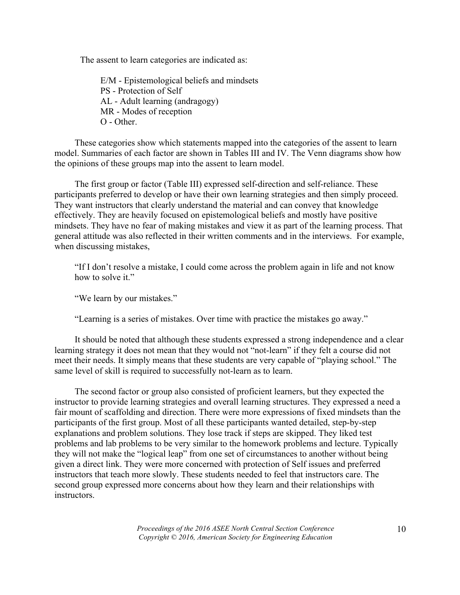The assent to learn categories are indicated as:

E/M - Epistemological beliefs and mindsets PS - Protection of Self AL - Adult learning (andragogy) MR - Modes of reception O - Other.

These categories show which statements mapped into the categories of the assent to learn model. Summaries of each factor are shown in Tables III and IV. The Venn diagrams show how the opinions of these groups map into the assent to learn model.

The first group or factor (Table III) expressed self-direction and self-reliance. These participants preferred to develop or have their own learning strategies and then simply proceed. They want instructors that clearly understand the material and can convey that knowledge effectively. They are heavily focused on epistemological beliefs and mostly have positive mindsets. They have no fear of making mistakes and view it as part of the learning process. That general attitude was also reflected in their written comments and in the interviews. For example, when discussing mistakes,

"If I don't resolve a mistake, I could come across the problem again in life and not know how to solve it."

"We learn by our mistakes."

"Learning is a series of mistakes. Over time with practice the mistakes go away."

It should be noted that although these students expressed a strong independence and a clear learning strategy it does not mean that they would not "not-learn" if they felt a course did not meet their needs. It simply means that these students are very capable of "playing school." The same level of skill is required to successfully not-learn as to learn.

The second factor or group also consisted of proficient learners, but they expected the instructor to provide learning strategies and overall learning structures. They expressed a need a fair mount of scaffolding and direction. There were more expressions of fixed mindsets than the participants of the first group. Most of all these participants wanted detailed, step-by-step explanations and problem solutions. They lose track if steps are skipped. They liked test problems and lab problems to be very similar to the homework problems and lecture. Typically they will not make the "logical leap" from one set of circumstances to another without being given a direct link. They were more concerned with protection of Self issues and preferred instructors that teach more slowly. These students needed to feel that instructors care. The second group expressed more concerns about how they learn and their relationships with instructors.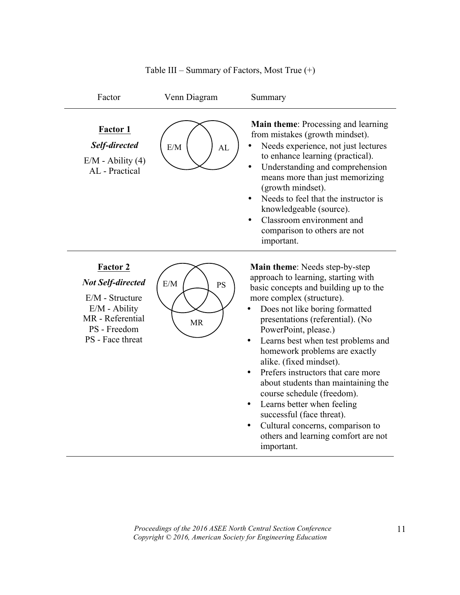

### Table III – Summary of Factors, Most True (+)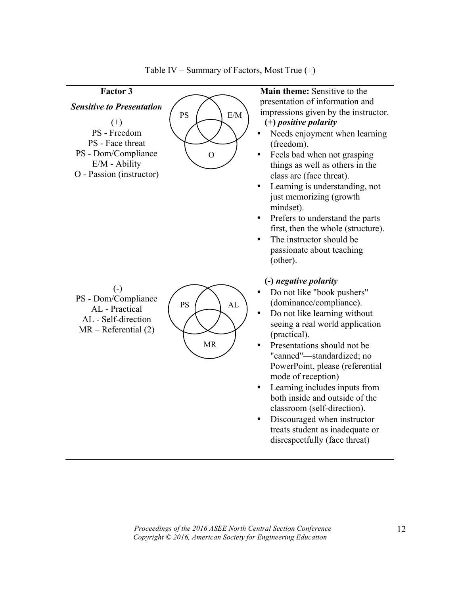

Table IV – Summary of Factors, Most True  $(+)$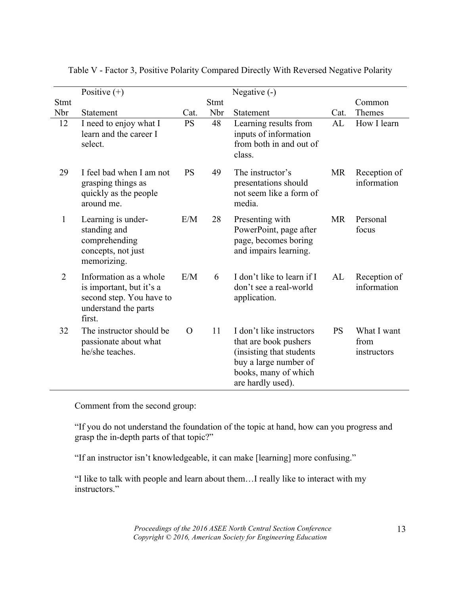|                | Positive $(+)$                                                                                                   |           |      | Negative (-)                                                                                                                                        |           |                                    |
|----------------|------------------------------------------------------------------------------------------------------------------|-----------|------|-----------------------------------------------------------------------------------------------------------------------------------------------------|-----------|------------------------------------|
| <b>Stmt</b>    |                                                                                                                  |           | Stmt |                                                                                                                                                     |           | Common                             |
| Nbr            | Statement                                                                                                        | Cat.      | Nbr  | Statement                                                                                                                                           | Cat.      | Themes                             |
| 12             | I need to enjoy what I<br>learn and the career I<br>select.                                                      | <b>PS</b> | 48   | Learning results from<br>inputs of information<br>from both in and out of<br>class.                                                                 | AL        | How I learn                        |
| 29             | I feel bad when I am not<br>grasping things as<br>quickly as the people<br>around me.                            | <b>PS</b> | 49   | The instructor's<br>presentations should<br>not seem like a form of<br>media.                                                                       | <b>MR</b> | Reception of<br>information        |
| $\mathbf{1}$   | Learning is under-<br>standing and<br>comprehending<br>concepts, not just<br>memorizing.                         | E/M       | 28   | Presenting with<br>PowerPoint, page after<br>page, becomes boring<br>and impairs learning.                                                          | <b>MR</b> | Personal<br>focus                  |
| $\overline{2}$ | Information as a whole<br>is important, but it's a<br>second step. You have to<br>understand the parts<br>first. | E/M       | 6    | I don't like to learn if I<br>don't see a real-world<br>application.                                                                                | AL        | Reception of<br>information        |
| 32             | The instructor should be<br>passionate about what<br>he/she teaches.                                             | $\Omega$  | 11   | I don't like instructors<br>that are book pushers<br>(insisting that students<br>buy a large number of<br>books, many of which<br>are hardly used). | <b>PS</b> | What I want<br>from<br>instructors |

Table V - Factor 3, Positive Polarity Compared Directly With Reversed Negative Polarity

Comment from the second group:

"If you do not understand the foundation of the topic at hand, how can you progress and grasp the in-depth parts of that topic?"

"If an instructor isn't knowledgeable, it can make [learning] more confusing."

"I like to talk with people and learn about them…I really like to interact with my instructors."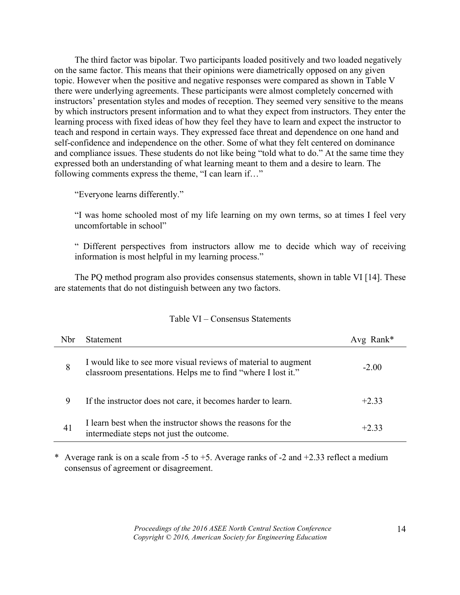The third factor was bipolar. Two participants loaded positively and two loaded negatively on the same factor. This means that their opinions were diametrically opposed on any given topic. However when the positive and negative responses were compared as shown in Table V there were underlying agreements. These participants were almost completely concerned with instructors' presentation styles and modes of reception. They seemed very sensitive to the means by which instructors present information and to what they expect from instructors. They enter the learning process with fixed ideas of how they feel they have to learn and expect the instructor to teach and respond in certain ways. They expressed face threat and dependence on one hand and self-confidence and independence on the other. Some of what they felt centered on dominance and compliance issues. These students do not like being "told what to do." At the same time they expressed both an understanding of what learning meant to them and a desire to learn. The following comments express the theme, "I can learn if…"

"Everyone learns differently."

"I was home schooled most of my life learning on my own terms, so at times I feel very uncomfortable in school"

" Different perspectives from instructors allow me to decide which way of receiving information is most helpful in my learning process."

The PQ method program also provides consensus statements, shown in table VI [14]. These are statements that do not distinguish between any two factors.

| <b>Nbr</b> | <b>Statement</b>                                                                                                               | Avg Rank $*$ |
|------------|--------------------------------------------------------------------------------------------------------------------------------|--------------|
| 8          | I would like to see more visual reviews of material to augment<br>classroom presentations. Helps me to find "where I lost it." | $-2.00$      |
| 9          | If the instructor does not care, it becomes harder to learn.                                                                   | $+2.33$      |
| 41         | I learn best when the instructor shows the reasons for the<br>intermediate steps not just the outcome.                         | $+2.33$      |

# Table VI – Consensus Statements

\* Average rank is on a scale from -5 to +5. Average ranks of -2 and +2.33 reflect a medium consensus of agreement or disagreement.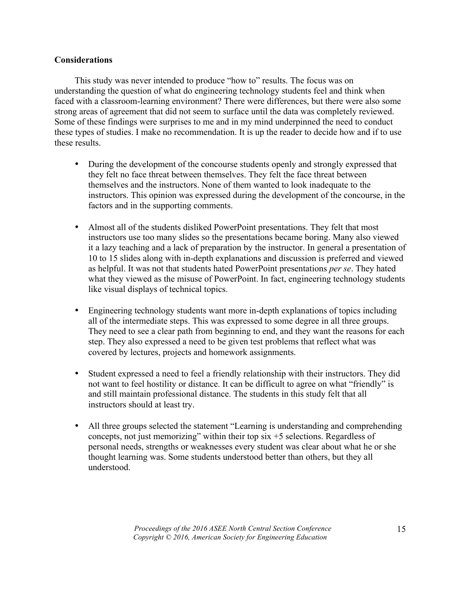# **Considerations**

This study was never intended to produce "how to" results. The focus was on understanding the question of what do engineering technology students feel and think when faced with a classroom-learning environment? There were differences, but there were also some strong areas of agreement that did not seem to surface until the data was completely reviewed. Some of these findings were surprises to me and in my mind underpinned the need to conduct these types of studies. I make no recommendation. It is up the reader to decide how and if to use these results.

- During the development of the concourse students openly and strongly expressed that they felt no face threat between themselves. They felt the face threat between themselves and the instructors. None of them wanted to look inadequate to the instructors. This opinion was expressed during the development of the concourse, in the factors and in the supporting comments.
- Almost all of the students disliked PowerPoint presentations. They felt that most instructors use too many slides so the presentations became boring. Many also viewed it a lazy teaching and a lack of preparation by the instructor. In general a presentation of 10 to 15 slides along with in-depth explanations and discussion is preferred and viewed as helpful. It was not that students hated PowerPoint presentations *per se*. They hated what they viewed as the misuse of PowerPoint. In fact, engineering technology students like visual displays of technical topics.
- Engineering technology students want more in-depth explanations of topics including all of the intermediate steps. This was expressed to some degree in all three groups. They need to see a clear path from beginning to end, and they want the reasons for each step. They also expressed a need to be given test problems that reflect what was covered by lectures, projects and homework assignments.
- Student expressed a need to feel a friendly relationship with their instructors. They did not want to feel hostility or distance. It can be difficult to agree on what "friendly" is and still maintain professional distance. The students in this study felt that all instructors should at least try.
- All three groups selected the statement "Learning is understanding and comprehending concepts, not just memorizing" within their top six +5 selections. Regardless of personal needs, strengths or weaknesses every student was clear about what he or she thought learning was. Some students understood better than others, but they all understood.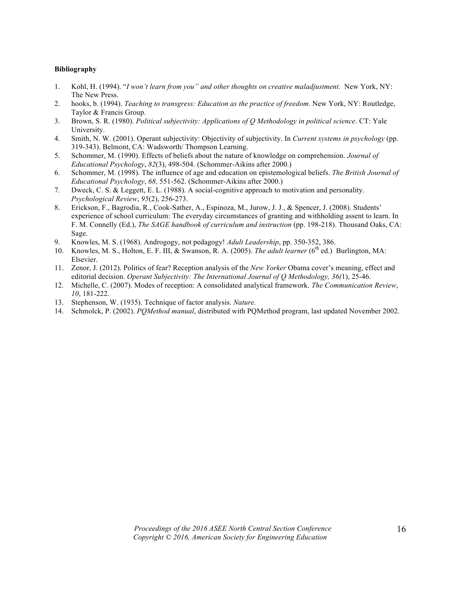#### **Bibliography**

- 1. Kohl, H. (1994). "*I won't learn from you" and other thoughts on creative maladjustment.* New York, NY: The New Press.
- 2. hooks, b. (1994). *Teaching to transgress: Education as the practice of freedom*. New York, NY: Routledge, Taylor & Francis Group.
- 3. Brown, S. R. (1980). *Political subjectivity: Applications of Q Methodology in political science*. CT: Yale University.
- 4. Smith, N. W. (2001). Operant subjectivity: Objectivity of subjectivity. In *Current systems in psychology* (pp. 319-343). Belmont, CA: Wadsworth/ Thompson Learning.
- 5. Schommer, M. (1990). Effects of beliefs about the nature of knowledge on comprehension. *Journal of Educational Psychology*, *82*(3), 498-504. (Schommer-Aikins after 2000.)
- 6. Schommer, M. (1998). The influence of age and education on epistemological beliefs. *The British Journal of Educational Psychology*, *68,* 551-562. (Schommer-Aikins after 2000.)
- 7. Dweck, C. S. & Leggett, E. L. (1988). A social-cognitive approach to motivation and personality. *Psychological Review*, *95*(2), 256-273.
- 8. Erickson, F., Bagrodia, R., Cook-Sather, A., Espinoza, M., Jurow, J. J., & Spencer, J. (2008). Students' experience of school curriculum: The everyday circumstances of granting and withholding assent to learn. In F. M. Connelly (Ed.), *The SAGE handbook of curriculum and instruction* (pp. 198-218). Thousand Oaks, CA: Sage.
- 9. Knowles, M. S. (1968). Androgogy, not pedagogy! *Adult Leadership*, pp. 350-352, 386.
- 10. Knowles, M. S., Holton, E. F. III, & Swanson, R. A. (2005). *The adult learner* (6<sup>th</sup> ed.) Burlington, MA: Elsevier.
- 11. Zenor, J. (2012). Politics of fear? Reception analysis of the *New Yorker* Obama cover's meaning, effect and editorial decision. *Operant Subjectivity: The International Journal of Q Methodology, 36(*1), 25-46.
- 12. Michelle, C. (2007). Modes of reception: A consolidated analytical framework. *The Communication Review*, *10*, 181-222.
- 13. Stephenson, W. (1935). Technique of factor analysis. *Nature.*
- 14. Schmolck, P. (2002). *PQMethod manual*, distributed with PQMethod program, last updated November 2002.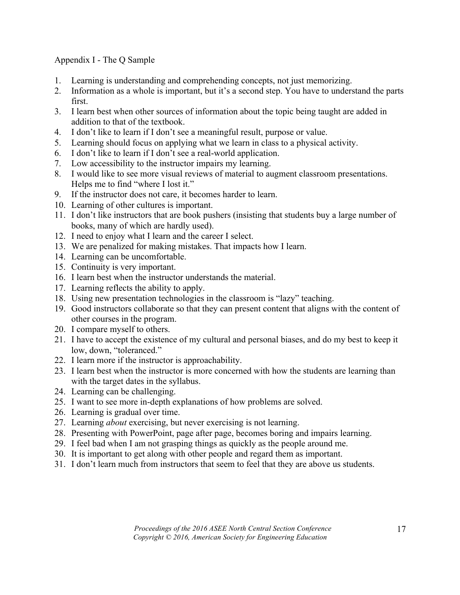# Appendix I - The Q Sample

- 1. Learning is understanding and comprehending concepts, not just memorizing.
- 2. Information as a whole is important, but it's a second step. You have to understand the parts first.
- 3. I learn best when other sources of information about the topic being taught are added in addition to that of the textbook.
- 4. I don't like to learn if I don't see a meaningful result, purpose or value.
- 5. Learning should focus on applying what we learn in class to a physical activity.
- 6. I don't like to learn if I don't see a real-world application.
- 7. Low accessibility to the instructor impairs my learning.
- 8. I would like to see more visual reviews of material to augment classroom presentations. Helps me to find "where I lost it."
- 9. If the instructor does not care, it becomes harder to learn.
- 10. Learning of other cultures is important.
- 11. I don't like instructors that are book pushers (insisting that students buy a large number of books, many of which are hardly used).
- 12. I need to enjoy what I learn and the career I select.
- 13. We are penalized for making mistakes. That impacts how I learn.
- 14. Learning can be uncomfortable.
- 15. Continuity is very important.
- 16. I learn best when the instructor understands the material.
- 17. Learning reflects the ability to apply.
- 18. Using new presentation technologies in the classroom is "lazy" teaching.
- 19. Good instructors collaborate so that they can present content that aligns with the content of other courses in the program.
- 20. I compare myself to others.
- 21. I have to accept the existence of my cultural and personal biases, and do my best to keep it low, down, "toleranced."
- 22. I learn more if the instructor is approachability.
- 23. I learn best when the instructor is more concerned with how the students are learning than with the target dates in the syllabus.
- 24. Learning can be challenging.
- 25. I want to see more in-depth explanations of how problems are solved.
- 26. Learning is gradual over time.
- 27. Learning *about* exercising, but never exercising is not learning.
- 28. Presenting with PowerPoint, page after page, becomes boring and impairs learning.
- 29. I feel bad when I am not grasping things as quickly as the people around me.
- 30. It is important to get along with other people and regard them as important.
- 31. I don't learn much from instructors that seem to feel that they are above us students.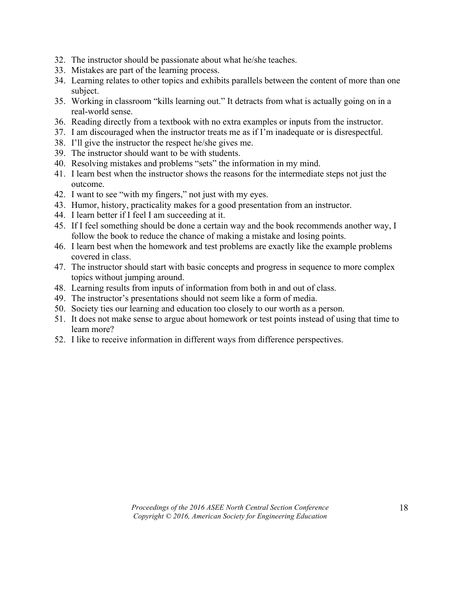- 32. The instructor should be passionate about what he/she teaches.
- 33. Mistakes are part of the learning process.
- 34. Learning relates to other topics and exhibits parallels between the content of more than one subject.
- 35. Working in classroom "kills learning out." It detracts from what is actually going on in a real-world sense.
- 36. Reading directly from a textbook with no extra examples or inputs from the instructor.
- 37. I am discouraged when the instructor treats me as if I'm inadequate or is disrespectful.
- 38. I'll give the instructor the respect he/she gives me.
- 39. The instructor should want to be with students.
- 40. Resolving mistakes and problems "sets" the information in my mind.
- 41. I learn best when the instructor shows the reasons for the intermediate steps not just the outcome.
- 42. I want to see "with my fingers," not just with my eyes.
- 43. Humor, history, practicality makes for a good presentation from an instructor.
- 44. I learn better if I feel I am succeeding at it.
- 45. If I feel something should be done a certain way and the book recommends another way, I follow the book to reduce the chance of making a mistake and losing points.
- 46. I learn best when the homework and test problems are exactly like the example problems covered in class.
- 47. The instructor should start with basic concepts and progress in sequence to more complex topics without jumping around.
- 48. Learning results from inputs of information from both in and out of class.
- 49. The instructor's presentations should not seem like a form of media.
- 50. Society ties our learning and education too closely to our worth as a person.
- 51. It does not make sense to argue about homework or test points instead of using that time to learn more?
- 52. I like to receive information in different ways from difference perspectives.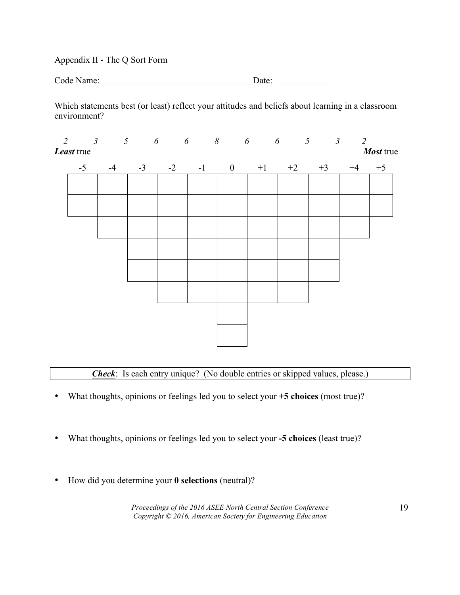Appendix II - The Q Sort Form

| Code Name: | Date: |
|------------|-------|
|            |       |

Which statements best (or least) reflect your attitudes and beliefs about learning in a classroom environment?

| Least true |      |      |      |        |           | $2$ $3$ $5$ $6$ $6$ $8$ $6$ $6$ $5$ $3$ $2$ |           | Most true |
|------------|------|------|------|--------|-----------|---------------------------------------------|-----------|-----------|
| $-5$       | $-4$ | $-3$ | $-2$ | $-1$ 0 | $+1$ $+2$ | $+3$                                        | $+4$ $+5$ |           |
|            |      |      |      |        |           |                                             |           |           |
|            |      |      |      |        |           |                                             |           |           |
|            |      |      |      |        |           |                                             |           |           |
|            |      |      |      |        |           |                                             |           |           |
|            |      |      |      |        |           |                                             |           |           |
|            |      |      |      |        |           |                                             |           |           |
|            |      |      |      |        |           |                                             |           |           |
|            |      |      |      |        |           |                                             |           |           |
|            |      |      |      |        |           |                                             |           |           |

*Check*: Is each entry unique? (No double entries or skipped values, please.)

- What thoughts, opinions or feelings led you to select your **+5 choices** (most true)?
- What thoughts, opinions or feelings led you to select your **-5 choices** (least true)?
- How did you determine your **0 selections** (neutral)?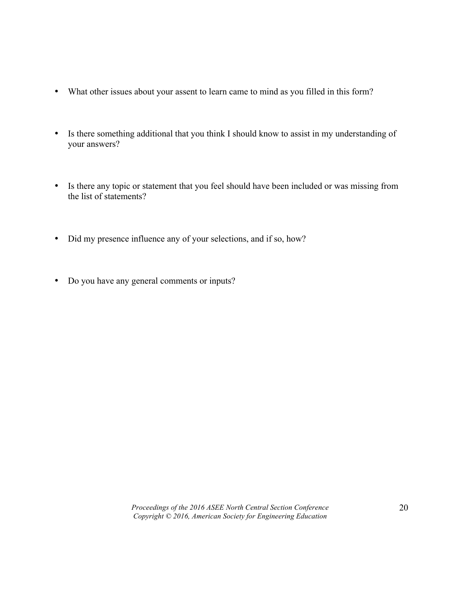- What other issues about your assent to learn came to mind as you filled in this form?
- Is there something additional that you think I should know to assist in my understanding of your answers?
- Is there any topic or statement that you feel should have been included or was missing from the list of statements?
- Did my presence influence any of your selections, and if so, how?
- Do you have any general comments or inputs?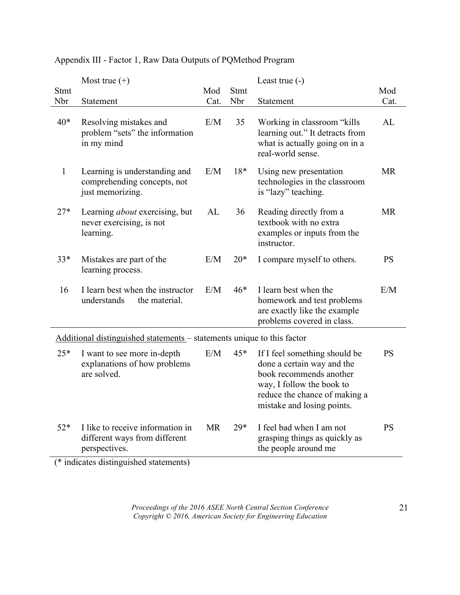|              | Most true $(+)$                                                                    |           |       | Least true $(-)$                                                                                                                                                                   |           |
|--------------|------------------------------------------------------------------------------------|-----------|-------|------------------------------------------------------------------------------------------------------------------------------------------------------------------------------------|-----------|
| Stmt         |                                                                                    | Mod       | Stmt  |                                                                                                                                                                                    | Mod       |
| Nbr          | Statement                                                                          | Cat.      | Nbr   | Statement                                                                                                                                                                          | Cat.      |
| $40*$        | Resolving mistakes and<br>problem "sets" the information<br>in my mind             | E/M       | 35    | Working in classroom "kills"<br>learning out." It detracts from<br>what is actually going on in a<br>real-world sense.                                                             | AL        |
| $\mathbf{1}$ | Learning is understanding and<br>comprehending concepts, not<br>just memorizing.   | E/M       | 18*   | Using new presentation<br>technologies in the classroom<br>is "lazy" teaching.                                                                                                     | <b>MR</b> |
| $27*$        | Learning <i>about</i> exercising, but<br>never exercising, is not<br>learning.     | AL        | 36    | Reading directly from a<br>textbook with no extra<br>examples or inputs from the<br>instructor.                                                                                    | <b>MR</b> |
| $33*$        | Mistakes are part of the<br>learning process.                                      | E/M       | $20*$ | I compare myself to others.                                                                                                                                                        | <b>PS</b> |
| 16           | I learn best when the instructor<br>understands<br>the material.                   | E/M       | $46*$ | I learn best when the<br>homework and test problems<br>are exactly like the example<br>problems covered in class.                                                                  | E/M       |
|              | Additional distinguished statements – statements unique to this factor             |           |       |                                                                                                                                                                                    |           |
| $25*$        | I want to see more in-depth<br>explanations of how problems<br>are solved.         | E/M       | 45*   | If I feel something should be<br>done a certain way and the<br>book recommends another<br>way, I follow the book to<br>reduce the chance of making a<br>mistake and losing points. | <b>PS</b> |
| $52*$        | I like to receive information in<br>different ways from different<br>perspectives. | <b>MR</b> | $29*$ | I feel bad when I am not<br>grasping things as quickly as<br>the people around me                                                                                                  | <b>PS</b> |

# Appendix III - Factor 1, Raw Data Outputs of PQMethod Program

(\* indicates distinguished statements)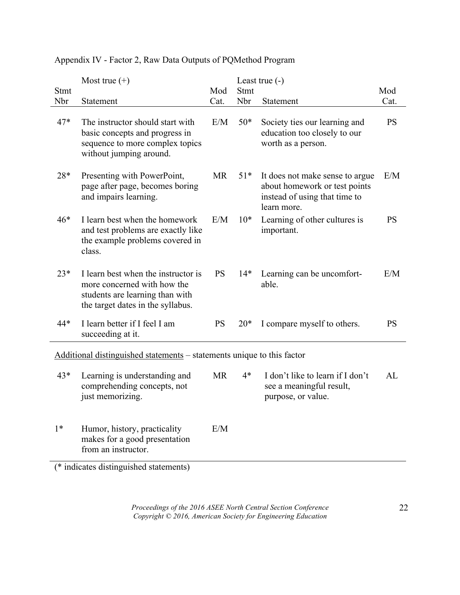|       | Most true $(+)$                                                                                                                            |           | Least true $(-)$ |                                                                                                                  |           |
|-------|--------------------------------------------------------------------------------------------------------------------------------------------|-----------|------------------|------------------------------------------------------------------------------------------------------------------|-----------|
| Stmt  |                                                                                                                                            | Mod       | Stmt             |                                                                                                                  | Mod       |
| Nbr   | Statement                                                                                                                                  | Cat.      | Nbr              | Statement                                                                                                        | Cat.      |
| $47*$ | The instructor should start with<br>basic concepts and progress in<br>sequence to more complex topics<br>without jumping around.           | E/M       | $50*$            | Society ties our learning and<br>education too closely to our<br>worth as a person.                              | <b>PS</b> |
| 28*   | Presenting with PowerPoint,<br>page after page, becomes boring<br>and impairs learning.                                                    | <b>MR</b> | $51*$            | It does not make sense to argue<br>about homework or test points<br>instead of using that time to<br>learn more. | E/M       |
| $46*$ | I learn best when the homework<br>and test problems are exactly like<br>the example problems covered in<br>class.                          | E/M       | $10*$            | Learning of other cultures is<br>important.                                                                      | <b>PS</b> |
| $23*$ | I learn best when the instructor is<br>more concerned with how the<br>students are learning than with<br>the target dates in the syllabus. | <b>PS</b> | $14*$            | Learning can be uncomfort-<br>able.                                                                              | E/M       |
| 44*   | I learn better if I feel I am<br>succeeding at it.                                                                                         | <b>PS</b> | $20*$            | I compare myself to others.                                                                                      | <b>PS</b> |
|       | Additional distinguished statements – statements unique to this factor                                                                     |           |                  |                                                                                                                  |           |
|       |                                                                                                                                            |           |                  |                                                                                                                  |           |
| $43*$ | Learning is understanding and<br>comprehending concepts, not<br>just memorizing.                                                           | <b>MR</b> | $4*$             | I don't like to learn if I don't<br>see a meaningful result,<br>purpose, or value.                               | AL        |
| $1*$  | Humor, history, practicality<br>makes for a good presentation<br>from an instructor.                                                       | E/M       |                  |                                                                                                                  |           |

# Appendix IV - Factor 2, Raw Data Outputs of PQMethod Program

(\* indicates distinguished statements)